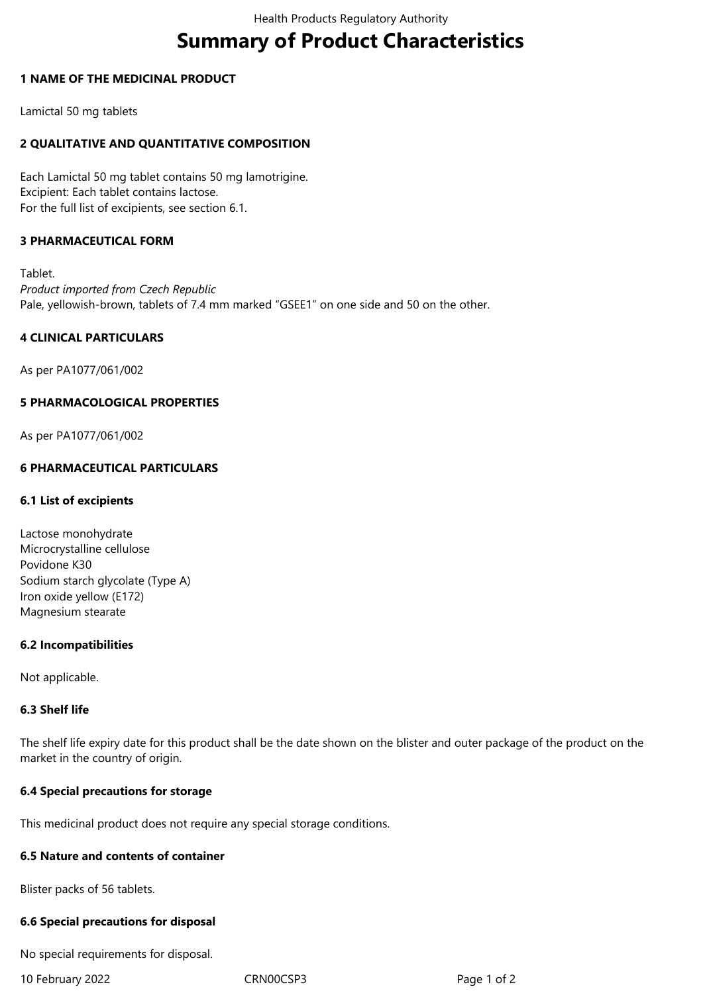# **Summary of Product Characteristics**

## **1 NAME OF THE MEDICINAL PRODUCT**

Lamictal 50 mg tablets

# **2 QUALITATIVE AND QUANTITATIVE COMPOSITION**

Each Lamictal 50 mg tablet contains 50 mg lamotrigine. Excipient: Each tablet contains lactose. For the full list of excipients, see section 6.1.

# **3 PHARMACEUTICAL FORM**

Tablet. *Product imported from Czech Republic* Pale, yellowish-brown, tablets of 7.4 mm marked "GSEE1" on one side and 50 on the other.

## **4 CLINICAL PARTICULARS**

As per PA1077/061/002

## **5 PHARMACOLOGICAL PROPERTIES**

As per PA1077/061/002

## **6 PHARMACEUTICAL PARTICULARS**

### **6.1 List of excipients**

| Lactose monohydrate              |
|----------------------------------|
| Microcrystalline cellulose       |
| Povidone K30                     |
| Sodium starch glycolate (Type A) |
| Iron oxide yellow (E172)         |
| Magnesium stearate               |

#### **6.2 Incompatibilities**

Not applicable.

## **6.3 Shelf life**

The shelf life expiry date for this product shall be the date shown on the blister and outer package of the product on the market in the country of origin.

## **6.4 Special precautions for storage**

This medicinal product does not require any special storage conditions.

### **6.5 Nature and contents of container**

Blister packs of 56 tablets.

### **6.6 Special precautions for disposal**

No special requirements for disposal.

10 February 2022 CRN00CSP3 Page 1 of 2